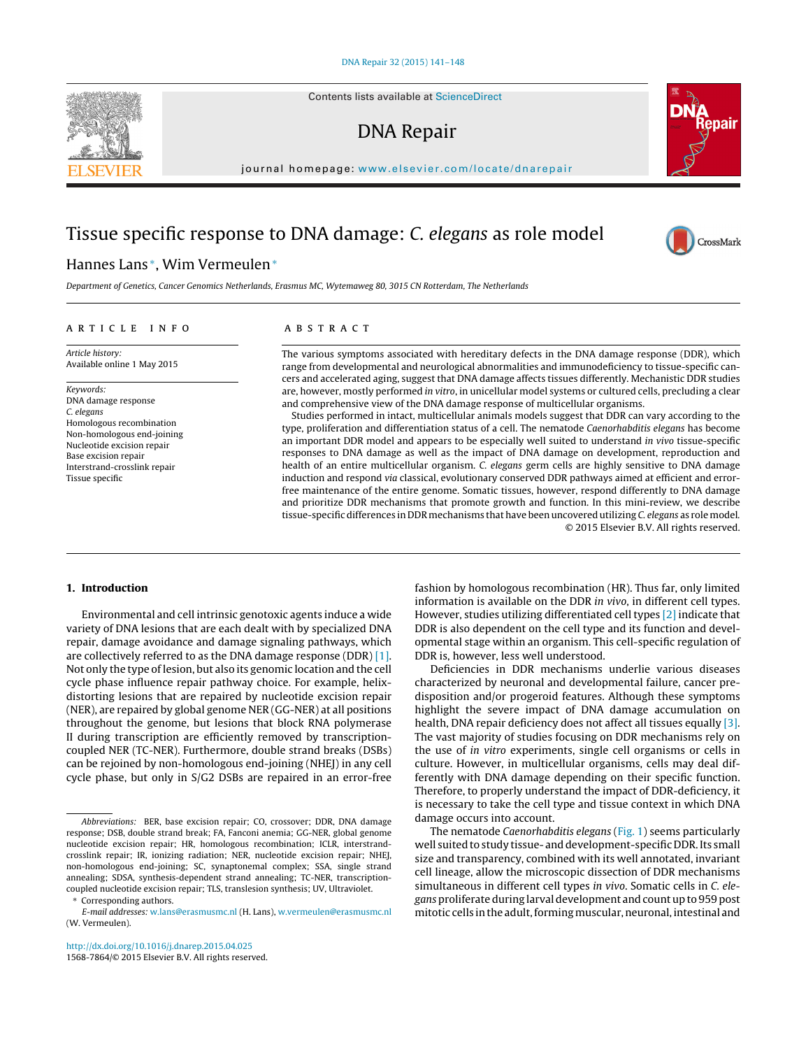Contents lists available at [ScienceDirect](http://www.sciencedirect.com/science/journal/15687864)

# DNA Repair

journal homepage: [www.elsevier.com/locate/dnarepair](http://www.elsevier.com/locate/dnarepair)

# Tissue specific response to DNA damage: C. elegans as role model

# Hannes Lans<sup>\*</sup>, Wim Vermeulen<sup>\*</sup>

Department of Genetics, Cancer Genomics Netherlands, Erasmus MC, Wytemaweg 80, 3015 CN Rotterdam, The Netherlands

### article info

Article history: Available online 1 May 2015

#### Keywords: DNA damage response C. elegans Homologous recombination Non-homologous end-joining Nucleotide excision repair Base excision repair Interstrand-crosslink repair Tissue specific

# ABSTRACT

The various symptoms associated with hereditary defects in the DNA damage response (DDR), which range from developmental and neurological abnormalities and immunodeficiency to tissue-specific cancers and accelerated aging, suggest that DNA damage affects tissues differently. Mechanistic DDR studies are, however, mostly performed in vitro, in unicellular model systems or cultured cells, precluding a clear and comprehensive view of the DNA damage response of multicellular organisms.

Studies performed in intact, multicellular animals models suggest that DDR can vary according to the type, proliferation and differentiation status of a cell. The nematode Caenorhabditis elegans has become an important DDR model and appears to be especially well suited to understand in vivo tissue-specific responses to DNA damage as well as the impact of DNA damage on development, reproduction and health of an entire multicellular organism. C. elegans germ cells are highly sensitive to DNA damage induction and respond via classical, evolutionary conserved DDR pathways aimed at efficient and errorfree maintenance of the entire genome. Somatic tissues, however, respond differently to DNA damage and prioritize DDR mechanisms that promote growth and function. In this mini-review, we describe tissue-specific differences in DDR mechanisms that have been uncovered utilizing C. elegans as role model. © 2015 Elsevier B.V. All rights reserved.

# **1. Introduction**

Environmental and cell intrinsic genotoxic agents induce a wide variety of DNA lesions that are each dealt with by specialized DNA repair, damage avoidance and damage signaling pathways, which are collectively referred to as the DNA damage response (DDR) [\[1\].](#page-5-0) Not only the type of lesion, but also its genomic location and the cell cycle phase influence repair pathway choice. For example, helixdistorting lesions that are repaired by nucleotide excision repair (NER), are repaired by global genome NER (GG-NER) at all positions throughout the genome, but lesions that block RNA polymerase II during transcription are efficiently removed by transcriptioncoupled NER (TC-NER). Furthermore, double strand breaks (DSBs) can be rejoined by non-homologous end-joining (NHEJ) in any cell cycle phase, but only in S/G2 DSBs are repaired in an error-free

Corresponding authors.

[http://dx.doi.org/10.1016/j.dnarep.2015.04.025](dx.doi.org/10.1016/j.dnarep.2015.04.025) 1568-7864/© 2015 Elsevier B.V. All rights reserved. fashion by homologous recombination (HR). Thus far, only limited information is available on the DDR in vivo, in different cell types. However, studies utilizing differentiated cell types [\[2\]](#page-5-0) indicate that DDR is also dependent on the cell type and its function and developmental stage within an organism. This cell-specific regulation of DDR is, however, less well understood.

Deficiencies in DDR mechanisms underlie various diseases characterized by neuronal and developmental failure, cancer predisposition and/or progeroid features. Although these symptoms highlight the severe impact of DNA damage accumulation on health, DNA repair deficiency does not affect all tissues equally [\[3\].](#page-5-0) The vast majority of studies focusing on DDR mechanisms rely on the use of in vitro experiments, single cell organisms or cells in culture. However, in multicellular organisms, cells may deal differently with DNA damage depending on their specific function. Therefore, to properly understand the impact of DDR-deficiency, it is necessary to take the cell type and tissue context in which DNA damage occurs into account.

The nematode Caenorhabditis elegans [\(Fig. 1\) s](#page-1-0)eems particularly well suited to study tissue- and development-specific DDR. Its small size and transparency, combined with its well annotated, invariant cell lineage, allow the microscopic dissection of DDR mechanisms simultaneous in different cell types in vivo. Somatic cells in C. elegans proliferate during larval development and count up to 959 post mitotic cells in the adult, forming muscular, neuronal, intestinal and





Abbreviations: BER, base excision repair; CO, crossover; DDR, DNA damage response; DSB, double strand break; FA, Fanconi anemia; GG-NER, global genome nucleotide excision repair; HR, homologous recombination; ICLR, interstrandcrosslink repair; IR, ionizing radiation; NER, nucleotide excision repair; NHEJ, non-homologous end-joining; SC, synaptonemal complex; SSA, single strand annealing; SDSA, synthesis-dependent strand annealing; TC-NER, transcriptioncoupled nucleotide excision repair; TLS, translesion synthesis; UV, Ultraviolet.

E-mail addresses: [w.lans@erasmusmc.nl](mailto:w.lans@erasmusmc.nl) (H. Lans), [w.vermeulen@erasmusmc.nl](mailto:w.vermeulen@erasmusmc.nl) (W. Vermeulen).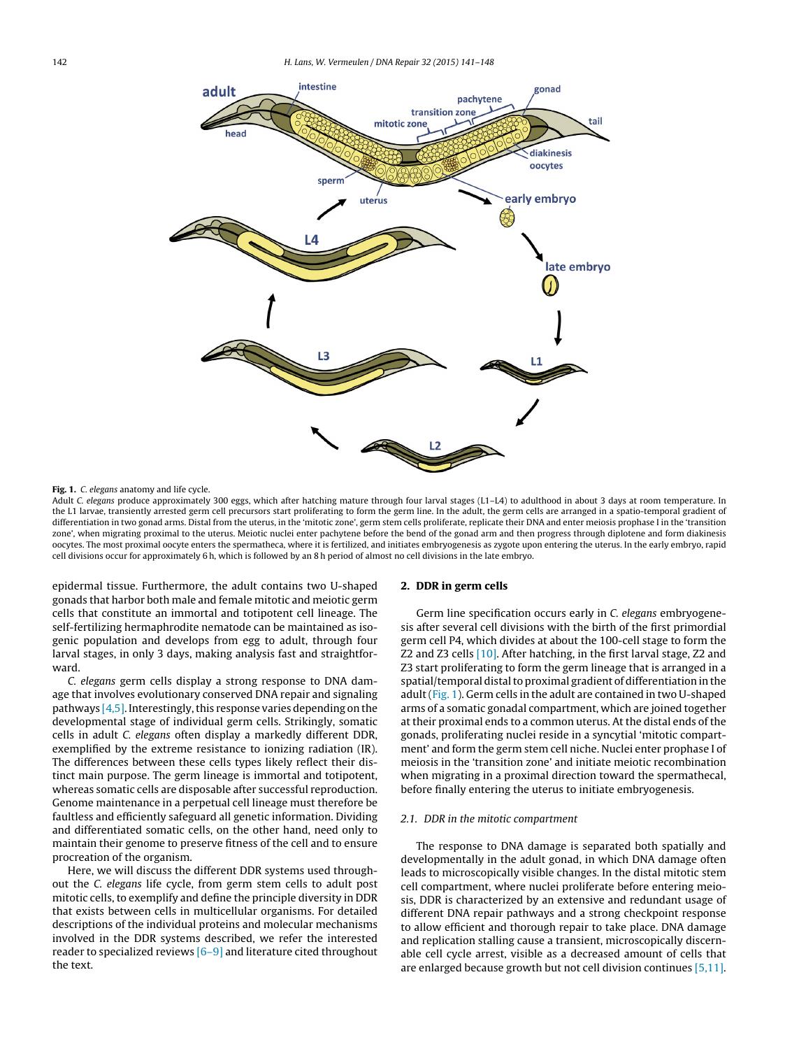<span id="page-1-0"></span>

### Fig. 1. C. elegans anatomy and life cycle.

Adult C. elegans produce approximately 300 eggs, which after hatching mature through four larval stages (L1-L4) to adulthood in about 3 days at room temperature. In the L1 larvae, transiently arrested germ cell precursors start proliferating to form the germ line. In the adult, the germ cells are arranged in a spatio-temporal gradient of differentiation in two gonad arms. Distal from the uterus, in the 'mitotic zone', germ stem cells proliferate, replicate their DNA and enter meiosis prophase I in the 'transition zone', when migrating proximal to the uterus. Meiotic nuclei enter pachytene before the bend of the gonad arm and then progress through diplotene and form diakinesis oocytes. The most proximal oocyte enters the spermatheca, where it is fertilized, and initiates embryogenesis as zygote upon entering the uterus. In the early embryo, rapid cell divisions occur for approximately 6 h, which is followed by an 8 h period of almost no cell divisions in the late embryo.

epidermal tissue. Furthermore, the adult contains two U-shaped gonads that harbor both male and female mitotic and meiotic germ cells that constitute an immortal and totipotent cell lineage. The self-fertilizing hermaphrodite nematode can be maintained as isogenic population and develops from egg to adult, through four larval stages, in only 3 days, making analysis fast and straightforward.

C. elegans germ cells display a strong response to DNA damage that involves evolutionary conserved DNA repair and signaling pathways [\[4,5\]. I](#page-5-0)nterestingly, this response varies depending on the developmental stage of individual germ cells. Strikingly, somatic cells in adult C. elegans often display a markedly different DDR, exemplified by the extreme resistance to ionizing radiation (IR). The differences between these cells types likely reflect their distinct main purpose. The germ lineage is immortal and totipotent, whereas somatic cells are disposable after successful reproduction. Genome maintenance in a perpetual cell lineage must therefore be faultless and efficiently safeguard all genetic information. Dividing and differentiated somatic cells, on the other hand, need only to maintain their genome to preserve fitness of the cell and to ensure procreation of the organism.

Here, we will discuss the different DDR systems used throughout the C. elegans life cycle, from germ stem cells to adult post mitotic cells, to exemplify and define the principle diversity in DDR that exists between cells in multicellular organisms. For detailed descriptions of the individual proteins and molecular mechanisms involved in the DDR systems described, we refer the interested reader to specialized reviews  $[6-9]$  and literature cited throughout the text.

### **2. DDR in germ cells**

Germ line specification occurs early in C. elegans embryogenesis after several cell divisions with the birth of the first primordial germ cell P4, which divides at about the 100-cell stage to form the Z2 and Z3 cells [\[10\]. A](#page-5-0)fter hatching, in the first larval stage, Z2 and Z3 start proliferating to form the germ lineage that is arranged in a spatial/temporal distal to proximal gradient of differentiation in the adult (Fig. 1). Germ cells in the adult are contained in two U-shaped arms of a somatic gonadal compartment, which are joined together at their proximal ends to a common uterus. At the distal ends of the gonads, proliferating nuclei reside in a syncytial 'mitotic compartment' and form the germ stem cell niche. Nuclei enter prophase I of meiosis in the 'transition zone' and initiate meiotic recombination when migrating in a proximal direction toward the spermathecal, before finally entering the uterus to initiate embryogenesis.

# 2.1. DDR in the mitotic compartment

The response to DNA damage is separated both spatially and developmentally in the adult gonad, in which DNA damage often leads to microscopically visible changes. In the distal mitotic stem cell compartment, where nuclei proliferate before entering meiosis, DDR is characterized by an extensive and redundant usage of different DNA repair pathways and a strong checkpoint response to allow efficient and thorough repair to take place. DNA damage and replication stalling cause a transient, microscopically discernable cell cycle arrest, visible as a decreased amount of cells that are enlarged because growth but not cell division continues [\[5,11\].](#page-5-0)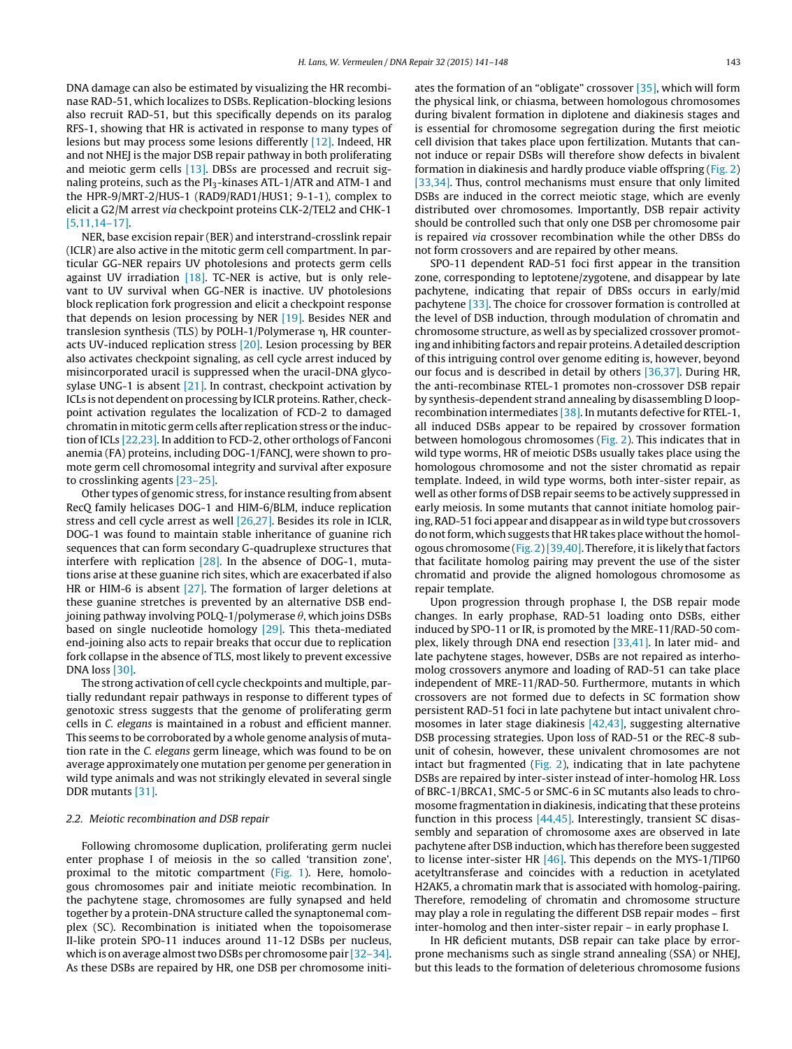DNA damage can also be estimated by visualizing the HR recombinase RAD-51, which localizes to DSBs. Replication-blocking lesions also recruit RAD-51, but this specifically depends on its paralog RFS-1, showing that HR is activated in response to many types of lesions but may process some lesions differently [\[12\]. I](#page-5-0)ndeed, HR and not NHEJ is the major DSB repair pathway in both proliferating and meiotic germ cells [\[13\]. D](#page-5-0)BSs are processed and recruit signaling proteins, such as the PI3-kinases ATL-1/ATR and ATM-1 and the HPR-9/MRT-2/HUS-1 (RAD9/RAD1/HUS1; 9-1-1), complex to elicit a G2/M arrest via checkpoint proteins CLK-2/TEL2 and CHK-1 [\[5,11,14–17\].](#page-5-0)

NER, base excision repair (BER) and interstrand-crosslink repair (ICLR) are also active in the mitotic germ cell compartment. In particular GG-NER repairs UV photolesions and protects germ cells against UV irradiation [\[18\].](#page-5-0) TC-NER is active, but is only relevant to UV survival when GG-NER is inactive. UV photolesions block replication fork progression and elicit a checkpoint response that depends on lesion processing by NER [\[19\]. B](#page-5-0)esides NER and translesion synthesis (TLS) by POLH-1/Polymerase η, HR counteracts UV-induced replication stress [\[20\]. L](#page-5-0)esion processing by BER also activates checkpoint signaling, as cell cycle arrest induced by misincorporated uracil is suppressed when the uracil-DNA glycosylase UNG-1 is absent  $[21]$ . In contrast, checkpoint activation by ICLs is not dependent on processing by ICLR proteins. Rather, checkpoint activation regulates the localization of FCD-2 to damaged chromatin in mitotic germ cells after replication stress or the induction of ICLs [\[22,23\]. I](#page-6-0)n addition to FCD-2, other orthologs of Fanconi anemia (FA) proteins, including DOG-1/FANCJ, were shown to promote germ cell chromosomal integrity and survival after exposure to crosslinking agents [\[23–25\].](#page-6-0)

Other types of genomic stress, for instance resulting from absent RecQ family helicases DOG-1 and HIM-6/BLM, induce replication stress and cell cycle arrest as well [\[26,27\]. B](#page-6-0)esides its role in ICLR, DOG-1 was found to maintain stable inheritance of guanine rich sequences that can form secondary G-quadruplexe structures that interfere with replication [\[28\].](#page-6-0) In the absence of DOG-1, mutations arise at these guanine rich sites, which are exacerbated if also HR or HIM-6 is absent [\[27\].](#page-6-0) The formation of larger deletions at these guanine stretches is prevented by an alternative DSB endjoining pathway involving POLQ-1/polymerase  $\theta$ , which joins DSBs based on single nucleotide homology [\[29\].](#page-6-0) This theta-mediated end-joining also acts to repair breaks that occur due to replication fork collapse in the absence of TLS, most likely to prevent excessive DNA loss [\[30\].](#page-6-0)

The strong activation of cell cycle checkpoints and multiple, partially redundant repair pathways in response to different types of genotoxic stress suggests that the genome of proliferating germ cells in C. elegans is maintained in a robust and efficient manner. This seems to be corroborated by a whole genome analysis of mutation rate in the C. elegans germ lineage, which was found to be on average approximately one mutation per genome per generation in wild type animals and was not strikingly elevated in several single DDR mutants [\[31\].](#page-6-0)

### 2.2. Meiotic recombination and DSB repair

Following chromosome duplication, proliferating germ nuclei enter prophase I of meiosis in the so called 'transition zone', proximal to the mitotic compartment [\(Fig. 1\)](#page-1-0). Here, homologous chromosomes pair and initiate meiotic recombination. In the pachytene stage, chromosomes are fully synapsed and held together by a protein-DNA structure called the synaptonemal complex (SC). Recombination is initiated when the topoisomerase II-like protein SPO-11 induces around 11-12 DSBs per nucleus, which is on average almost two DSBs per chromosome pair [\[32–34\].](#page-6-0) As these DSBs are repaired by HR, one DSB per chromosome initiates the formation of an "obligate" crossover [\[35\], w](#page-6-0)hich will form the physical link, or chiasma, between homologous chromosomes during bivalent formation in diplotene and diakinesis stages and is essential for chromosome segregation during the first meiotic cell division that takes place upon fertilization. Mutants that cannot induce or repair DSBs will therefore show defects in bivalent formation in diakinesis and hardly produce viable offspring ([Fig. 2\)](#page-3-0) [\[33,34\].](#page-6-0) Thus, control mechanisms must ensure that only limited DSBs are induced in the correct meiotic stage, which are evenly distributed over chromosomes. Importantly, DSB repair activity should be controlled such that only one DSB per chromosome pair is repaired via crossover recombination while the other DBSs do not form crossovers and are repaired by other means.

SPO-11 dependent RAD-51 foci first appear in the transition zone, corresponding to leptotene/zygotene, and disappear by late pachytene, indicating that repair of DBSs occurs in early/mid pachytene [\[33\]. T](#page-6-0)he choice for crossover formation is controlled at the level of DSB induction, through modulation of chromatin and chromosome structure, as well as by specialized crossover promoting and inhibiting factors and repair proteins. A detailed description of this intriguing control over genome editing is, however, beyond our focus and is described in detail by others [\[36,37\]. D](#page-6-0)uring HR, the anti-recombinase RTEL-1 promotes non-crossover DSB repair by synthesis-dependent strand annealing by disassembling D looprecombination intermediates [\[38\]. I](#page-6-0)n mutants defective for RTEL-1, all induced DSBs appear to be repaired by crossover formation between homologous chromosomes [\(Fig. 2\).](#page-3-0) This indicates that in wild type worms, HR of meiotic DSBs usually takes place using the homologous chromosome and not the sister chromatid as repair template. Indeed, in wild type worms, both inter-sister repair, as well as other forms of DSB repair seems to be actively suppressed in early meiosis. In some mutants that cannot initiate homolog pairing, RAD-51 foci appear and disappear as in wild type but crossovers do not form, which suggests that HR takes place without the homologous chromosome [\(Fig. 2\)](#page-3-0)[\[39,40\]. T](#page-6-0)herefore, it is likely that factors that facilitate homolog pairing may prevent the use of the sister chromatid and provide the aligned homologous chromosome as repair template.

Upon progression through prophase I, the DSB repair mode changes. In early prophase, RAD-51 loading onto DSBs, either induced by SPO-11 or IR, is promoted by the MRE-11/RAD-50 complex, likely through DNA end resection [\[33,41\]. I](#page-6-0)n later mid- and late pachytene stages, however, DSBs are not repaired as interhomolog crossovers anymore and loading of RAD-51 can take place independent of MRE-11/RAD-50. Furthermore, mutants in which crossovers are not formed due to defects in SC formation show persistent RAD-51 foci in late pachytene but intact univalent chromosomes in later stage diakinesis [\[42,43\], s](#page-6-0)uggesting alternative DSB processing strategies. Upon loss of RAD-51 or the REC-8 subunit of cohesin, however, these univalent chromosomes are not intact but fragmented ([Fig. 2\),](#page-3-0) indicating that in late pachytene DSBs are repaired by inter-sister instead of inter-homolog HR. Loss of BRC-1/BRCA1, SMC-5 or SMC-6 in SC mutants also leads to chromosome fragmentation in diakinesis, indicating that these proteins function in this process [\[44,45\].](#page-6-0) Interestingly, transient SC disassembly and separation of chromosome axes are observed in late pachytene after DSB induction, which has therefore been suggested to license inter-sister HR [\[46\].](#page-6-0) This depends on the MYS-1/TIP60 acetyltransferase and coincides with a reduction in acetylated H2AK5, a chromatin mark that is associated with homolog-pairing. Therefore, remodeling of chromatin and chromosome structure may play a role in regulating the different DSB repair modes – first inter-homolog and then inter-sister repair – in early prophase I.

In HR deficient mutants, DSB repair can take place by errorprone mechanisms such as single strand annealing (SSA) or NHEJ, but this leads to the formation of deleterious chromosome fusions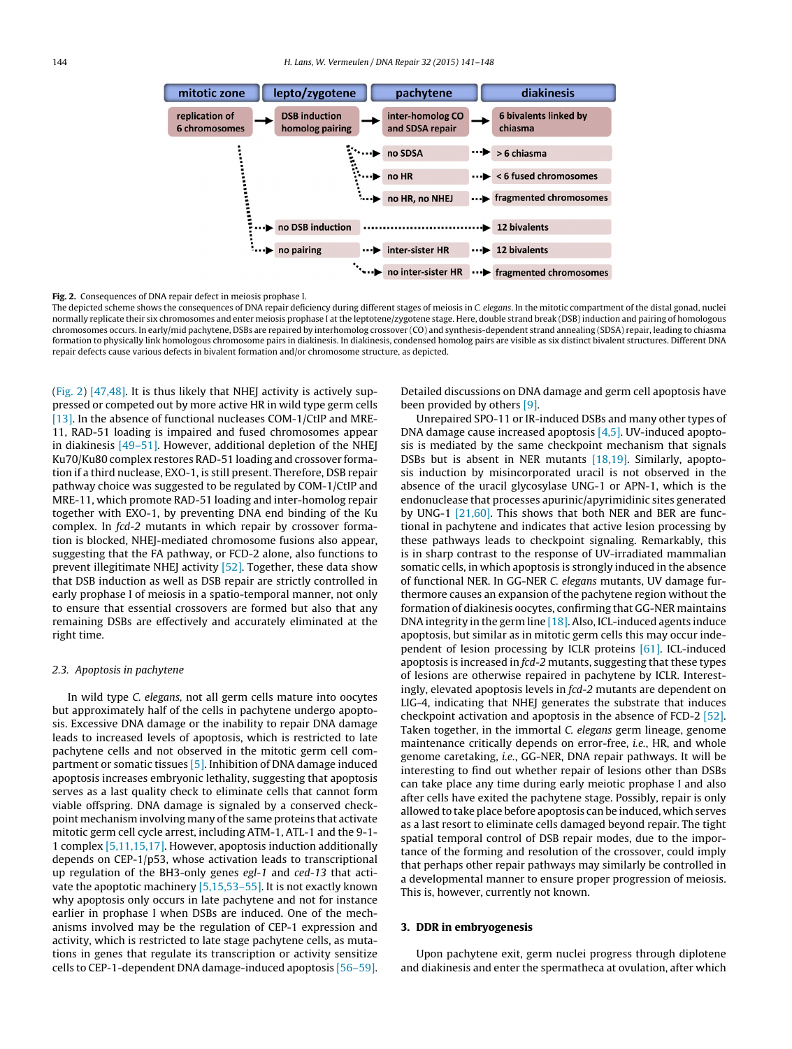<span id="page-3-0"></span>

**Fig. 2.** Consequences of DNA repair defect in meiosis prophase I.

The depicted scheme shows the consequences of DNA repair deficiency during different stages of meiosis in C. elegans. In the mitotic compartment of the distal gonad, nuclei normally replicate their six chromosomes and enter meiosis prophase I at the leptotene/zygotene stage. Here, double strand break (DSB) induction and pairing of homologous chromosomes occurs. In early/mid pachytene, DSBs are repaired by interhomolog crossover (CO) and synthesis-dependent strand annealing (SDSA) repair, leading to chiasma formation to physically link homologous chromosome pairs in diakinesis. In diakinesis, condensed homolog pairs are visible as six distinct bivalent structures. Different DNA repair defects cause various defects in bivalent formation and/or chromosome structure, as depicted.

(Fig. 2) [\[47,48\].](#page-6-0) It is thus likely that NHEJ activity is actively suppressed or competed out by more active HR in wild type germ cells [\[13\]. I](#page-5-0)n the absence of functional nucleases COM-1/CtIP and MRE-11, RAD-51 loading is impaired and fused chromosomes appear in diakinesis [\[49–51\].](#page-6-0) However, additional depletion of the NHEJ Ku70/Ku80 complex restores RAD-51 loading and crossover formation if a third nuclease, EXO-1, is still present. Therefore, DSB repair pathway choice was suggested to be regulated by COM-1/CtIP and MRE-11, which promote RAD-51 loading and inter-homolog repair together with EXO-1, by preventing DNA end binding of the Ku complex. In fcd-2 mutants in which repair by crossover formation is blocked, NHEJ-mediated chromosome fusions also appear, suggesting that the FA pathway, or FCD-2 alone, also functions to prevent illegitimate NHEJ activity [\[52\]. T](#page-6-0)ogether, these data show that DSB induction as well as DSB repair are strictly controlled in early prophase I of meiosis in a spatio-temporal manner, not only to ensure that essential crossovers are formed but also that any remaining DSBs are effectively and accurately eliminated at the right time.

#### 2.3. Apoptosis in pachytene

In wild type C. elegans, not all germ cells mature into oocytes but approximately half of the cells in pachytene undergo apoptosis. Excessive DNA damage or the inability to repair DNA damage leads to increased levels of apoptosis, which is restricted to late pachytene cells and not observed in the mitotic germ cell compartment or somatic tissues [\[5\]. I](#page-5-0)nhibition of DNA damage induced apoptosis increases embryonic lethality, suggesting that apoptosis serves as a last quality check to eliminate cells that cannot form viable offspring. DNA damage is signaled by a conserved checkpoint mechanism involving many of the same proteins that activate mitotic germ cell cycle arrest, including ATM-1, ATL-1 and the 9-1- 1 complex [\[5,11,15,17\]. H](#page-5-0)owever, apoptosis induction additionally depends on CEP-1/p53, whose activation leads to transcriptional up regulation of the BH3-only genes egl-1 and ced-13 that activate the apoptotic machinery [\[5,15,53–55\]. I](#page-5-0)t is not exactly known why apoptosis only occurs in late pachytene and not for instance earlier in prophase I when DSBs are induced. One of the mechanisms involved may be the regulation of CEP-1 expression and activity, which is restricted to late stage pachytene cells, as mutations in genes that regulate its transcription or activity sensitize cells to CEP-1-dependent DNA damage-induced apoptosis [\[56–59\].](#page-6-0) Detailed discussions on DNA damage and germ cell apoptosis have been provided by others [\[9\].](#page-5-0)

Unrepaired SPO-11 or IR-induced DSBs and many other types of DNA damage cause increased apoptosis [\[4,5\]. U](#page-5-0)V-induced apoptosis is mediated by the same checkpoint mechanism that signals DSBs but is absent in NER mutants [\[18,19\].](#page-5-0) Similarly, apoptosis induction by misincorporated uracil is not observed in the absence of the uracil glycosylase UNG-1 or APN-1, which is the endonuclease that processes apurinic/apyrimidinic sites generated by UNG-1 [\[21,60\]. T](#page-5-0)his shows that both NER and BER are functional in pachytene and indicates that active lesion processing by these pathways leads to checkpoint signaling. Remarkably, this is in sharp contrast to the response of UV-irradiated mammalian somatic cells, in which apoptosis is strongly induced in the absence of functional NER. In GG-NER C. elegans mutants, UV damage furthermore causes an expansion of the pachytene region without the formation of diakinesis oocytes, confirming that GG-NER maintains DNA integrity in the germ line [\[18\]. A](#page-5-0)lso, ICL-induced agents induce apoptosis, but similar as in mitotic germ cells this may occur independent of lesion processing by ICLR proteins [\[61\].](#page-6-0) ICL-induced apoptosis is increased in fcd-2 mutants, suggesting that these types of lesions are otherwise repaired in pachytene by ICLR. Interestingly, elevated apoptosis levels in fcd-2 mutants are dependent on LIG-4, indicating that NHEJ generates the substrate that induces checkpoint activation and apoptosis in the absence of FCD-2 [\[52\].](#page-6-0) Taken together, in the immortal C. elegans germ lineage, genome maintenance critically depends on error-free, i.e., HR, and whole genome caretaking, i.e., GG-NER, DNA repair pathways. It will be interesting to find out whether repair of lesions other than DSBs can take place any time during early meiotic prophase I and also after cells have exited the pachytene stage. Possibly, repair is only allowed to take place before apoptosis can be induced, which serves as a last resort to eliminate cells damaged beyond repair. The tight spatial temporal control of DSB repair modes, due to the importance of the forming and resolution of the crossover, could imply that perhaps other repair pathways may similarly be controlled in a developmental manner to ensure proper progression of meiosis. This is, however, currently not known.

# **3. DDR in embryogenesis**

Upon pachytene exit, germ nuclei progress through diplotene and diakinesis and enter the spermatheca at ovulation, after which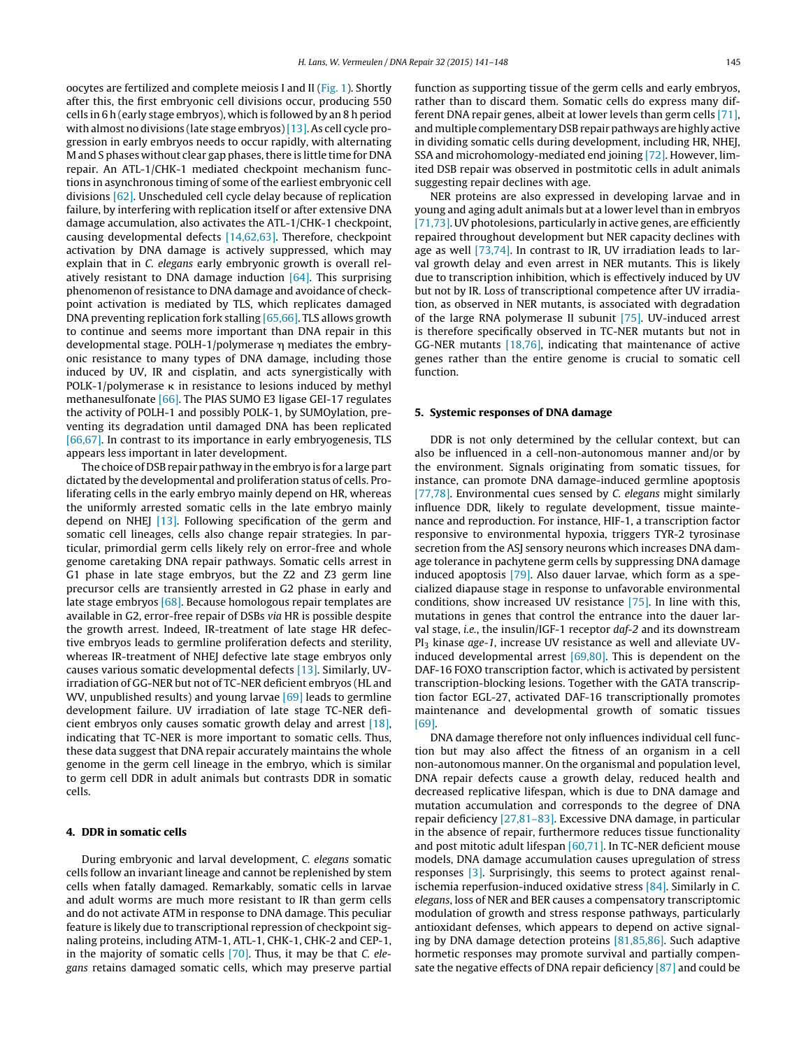oocytes are fertilized and complete meiosis I and II ([Fig. 1\).](#page-1-0) Shortly after this, the first embryonic cell divisions occur, producing 550 cells in 6 h (early stage embryos), which is followed by an 8 h period with almost no divisions (late stage embryos) [\[13\]. A](#page-5-0)s cell cycle progression in early embryos needs to occur rapidly, with alternating M and S phases without clear gap phases, there is little time for DNA repair. An ATL-1/CHK-1 mediated checkpoint mechanism functions in asynchronous timing of some of the earliest embryonic cell divisions [\[62\]. U](#page-6-0)nscheduled cell cycle delay because of replication failure, by interfering with replication itself or after extensive DNA damage accumulation, also activates the ATL-1/CHK-1 checkpoint, causing developmental defects [\[14,62,63\]. T](#page-5-0)herefore, checkpoint activation by DNA damage is actively suppressed, which may explain that in C. elegans early embryonic growth is overall relatively resistant to DNA damage induction  $[64]$ . This surprising phenomenon of resistance to DNA damage and avoidance of checkpoint activation is mediated by TLS, which replicates damaged DNA preventing replication fork stalling [\[65,66\]. T](#page-6-0)LS allows growth to continue and seems more important than DNA repair in this developmental stage. POLH-1/polymerase  $\eta$  mediates the embryonic resistance to many types of DNA damage, including those induced by UV, IR and cisplatin, and acts synergistically with POLK-1/polymerase  $\kappa$  in resistance to lesions induced by methyl methanesulfonate [\[66\]. T](#page-6-0)he PIAS SUMO E3 ligase GEI-17 regulates the activity of POLH-1 and possibly POLK-1, by SUMOylation, preventing its degradation until damaged DNA has been replicated [\[66,67\]. I](#page-6-0)n contrast to its importance in early embryogenesis, TLS appears less important in later development.

The choice of DSB repair pathway in the embryo is for a large part dictated by the developmental and proliferation status of cells. Proliferating cells in the early embryo mainly depend on HR, whereas the uniformly arrested somatic cells in the late embryo mainly depend on NHEJ <a>[13]</a>. Following specification of the germ and somatic cell lineages, cells also change repair strategies. In particular, primordial germ cells likely rely on error-free and whole genome caretaking DNA repair pathways. Somatic cells arrest in G1 phase in late stage embryos, but the Z2 and Z3 germ line precursor cells are transiently arrested in G2 phase in early and late stage embryos [\[68\]. B](#page-6-0)ecause homologous repair templates are available in G2, error-free repair of DSBs via HR is possible despite the growth arrest. Indeed, IR-treatment of late stage HR defective embryos leads to germline proliferation defects and sterility, whereas IR-treatment of NHEJ defective late stage embryos only causes various somatic developmental defects [\[13\]. S](#page-5-0)imilarly, UVirradiation of GG-NER but not of TC-NER deficient embryos (HL and WV, unpublished results) and young larvae [\[69\]](#page-6-0) leads to germline development failure. UV irradiation of late stage TC-NER deficient embryos only causes somatic growth delay and arrest [\[18\],](#page-5-0) indicating that TC-NER is more important to somatic cells. Thus, these data suggest that DNA repair accurately maintains the whole genome in the germ cell lineage in the embryo, which is similar to germ cell DDR in adult animals but contrasts DDR in somatic cells.

# **4. DDR in somatic cells**

During embryonic and larval development, C. elegans somatic cells follow an invariant lineage and cannot be replenished by stem cells when fatally damaged. Remarkably, somatic cells in larvae and adult worms are much more resistant to IR than germ cells and do not activate ATM in response to DNA damage. This peculiar feature is likely due to transcriptional repression of checkpoint signaling proteins, including ATM-1, ATL-1, CHK-1, CHK-2 and CEP-1, in the majority of somatic cells [\[70\]. T](#page-6-0)hus, it may be that C. elegans retains damaged somatic cells, which may preserve partial function as supporting tissue of the germ cells and early embryos, rather than to discard them. Somatic cells do express many different DNA repair genes, albeit at lower levels than germ cells [\[71\],](#page-6-0) andmultiple complementary DSB repair pathways are highly active in dividing somatic cells during development, including HR, NHEJ, SSA and microhomology-mediated end joining [\[72\]. H](#page-6-0)owever, limited DSB repair was observed in postmitotic cells in adult animals suggesting repair declines with age.

NER proteins are also expressed in developing larvae and in young and aging adult animals but at a lower level than in embryos [\[71,73\]. U](#page-6-0)V photolesions, particularly in active genes, are efficiently repaired throughout development but NER capacity declines with age as well [\[73,74\]. I](#page-6-0)n contrast to IR, UV irradiation leads to larval growth delay and even arrest in NER mutants. This is likely due to transcription inhibition, which is effectively induced by UV but not by IR. Loss of transcriptional competence after UV irradiation, as observed in NER mutants, is associated with degradation of the large RNA polymerase II subunit [\[75\].](#page-7-0) UV-induced arrest is therefore specifically observed in TC-NER mutants but not in GG-NER mutants [\[18,76\],](#page-5-0) indicating that maintenance of active genes rather than the entire genome is crucial to somatic cell function.

## **5. Systemic responses of DNA damage**

DDR is not only determined by the cellular context, but can also be influenced in a cell-non-autonomous manner and/or by the environment. Signals originating from somatic tissues, for instance, can promote DNA damage-induced germline apoptosis [\[77,78\].](#page-7-0) Environmental cues sensed by C. elegans might similarly influence DDR, likely to regulate development, tissue maintenance and reproduction. For instance, HIF-1, a transcription factor responsive to environmental hypoxia, triggers TYR-2 tyrosinase secretion from the ASJ sensory neurons which increases DNA damage tolerance in pachytene germ cells by suppressing DNA damage induced apoptosis [\[79\]. A](#page-7-0)lso dauer larvae, which form as a specialized diapause stage in response to unfavorable environmental conditions, show increased UV resistance [\[75\].](#page-7-0) In line with this, mutations in genes that control the entrance into the dauer larval stage, i.e., the insulin/IGF-1 receptor daf-2 and its downstream PI<sub>3</sub> kinase age-1, increase UV resistance as well and alleviate UVinduced developmental arrest [\[69,80\]. T](#page-6-0)his is dependent on the DAF-16 FOXO transcription factor, which is activated by persistent transcription-blocking lesions. Together with the GATA transcription factor EGL-27, activated DAF-16 transcriptionally promotes maintenance and developmental growth of somatic tissues [\[69\].](#page-6-0)

DNA damage therefore not only influences individual cell function but may also affect the fitness of an organism in a cell non-autonomous manner. On the organismal and population level, DNA repair defects cause a growth delay, reduced health and decreased replicative lifespan, which is due to DNA damage and mutation accumulation and corresponds to the degree of DNA repair deficiency [\[27,81–83\]. E](#page-6-0)xcessive DNA damage, in particular in the absence of repair, furthermore reduces tissue functionality and post mitotic adult lifespan [\[60,71\]. I](#page-6-0)n TC-NER deficient mouse models, DNA damage accumulation causes upregulation of stress responses [\[3\].](#page-5-0) Surprisingly, this seems to protect against renalischemia reperfusion-induced oxidative stress [\[84\]. S](#page-7-0)imilarly in C. elegans, loss of NER and BER causes a compensatory transcriptomic modulation of growth and stress response pathways, particularly antioxidant defenses, which appears to depend on active signaling by DNA damage detection proteins [\[81,85,86\]. S](#page-7-0)uch adaptive hormetic responses may promote survival and partially compensate the negative effects of DNA repair deficiency  $\lceil 87 \rceil$  and could be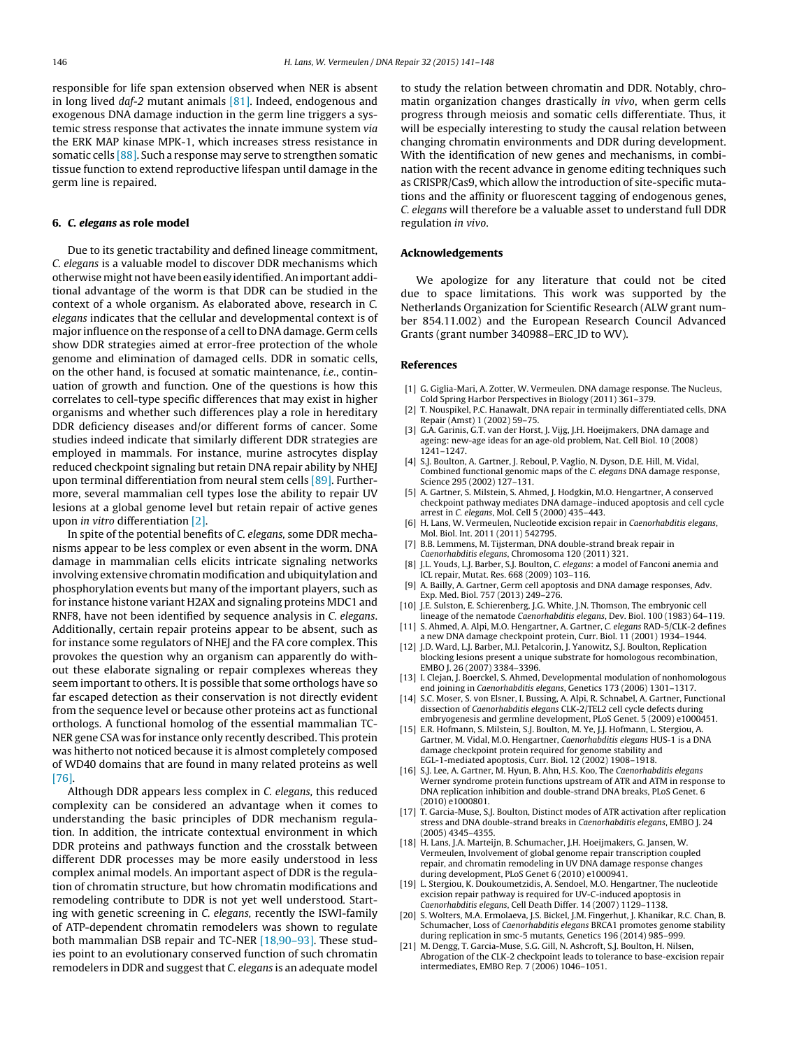<span id="page-5-0"></span>responsible for life span extension observed when NER is absent in long lived  $\text{d}af-2$  mutant animals  $[81]$ . Indeed, endogenous and exogenous DNA damage induction in the germ line triggers a systemic stress response that activates the innate immune system via the ERK MAP kinase MPK-1, which increases stress resistance in somatic cells [\[88\]. S](#page-7-0)uch a response may serve to strengthen somatic tissue function to extend reproductive lifespan until damage in the germ line is repaired.

## **6. C. elegans as role model**

Due to its genetic tractability and defined lineage commitment, C. elegans is a valuable model to discover DDR mechanisms which otherwisemight not have been easily identified. An important additional advantage of the worm is that DDR can be studied in the context of a whole organism. As elaborated above, research in C. elegans indicates that the cellular and developmental context is of major influence on the response of a cell to DNA damage. Germ cells show DDR strategies aimed at error-free protection of the whole genome and elimination of damaged cells. DDR in somatic cells, on the other hand, is focused at somatic maintenance, i.e., continuation of growth and function. One of the questions is how this correlates to cell-type specific differences that may exist in higher organisms and whether such differences play a role in hereditary DDR deficiency diseases and/or different forms of cancer. Some studies indeed indicate that similarly different DDR strategies are employed in mammals. For instance, murine astrocytes display reduced checkpoint signaling but retain DNA repair ability by NHEJ upon terminal differentiation from neural stem cells [\[89\]. F](#page-7-0)urthermore, several mammalian cell types lose the ability to repair UV lesions at a global genome level but retain repair of active genes upon in vitro differentiation [2].

In spite of the potential benefits of C. elegans, some DDR mechanisms appear to be less complex or even absent in the worm. DNA damage in mammalian cells elicits intricate signaling networks involving extensive chromatin modification and ubiquitylation and phosphorylation events but many of the important players, such as for instance histone variant H2AX and signaling proteins MDC1 and RNF8, have not been identified by sequence analysis in C. elegans. Additionally, certain repair proteins appear to be absent, such as for instance some regulators of NHEJ and the FA core complex. This provokes the question why an organism can apparently do without these elaborate signaling or repair complexes whereas they seem important to others. It is possible that some orthologs have so far escaped detection as their conservation is not directly evident from the sequence level or because other proteins act as functional orthologs. A functional homolog of the essential mammalian TC-NER gene CSA was for instance only recently described. This protein was hitherto not noticed because it is almost completely composed of WD40 domains that are found in many related proteins as well [\[76\].](#page-7-0)

Although DDR appears less complex in C. elegans, this reduced complexity can be considered an advantage when it comes to understanding the basic principles of DDR mechanism regulation. In addition, the intricate contextual environment in which DDR proteins and pathways function and the crosstalk between different DDR processes may be more easily understood in less complex animal models. An important aspect of DDR is the regulation of chromatin structure, but how chromatin modifications and remodeling contribute to DDR is not yet well understood. Starting with genetic screening in C. elegans, recently the ISWI-family of ATP-dependent chromatin remodelers was shown to regulate both mammalian DSB repair and TC-NER [18,90–93]. These studies point to an evolutionary conserved function of such chromatin remodelers in DDR and suggest that C. elegans is an adequate model

to study the relation between chromatin and DDR. Notably, chromatin organization changes drastically in vivo, when germ cells progress through meiosis and somatic cells differentiate. Thus, it will be especially interesting to study the causal relation between changing chromatin environments and DDR during development. With the identification of new genes and mechanisms, in combination with the recent advance in genome editing techniques such as CRISPR/Cas9, which allow the introduction of site-specific mutations and the affinity or fluorescent tagging of endogenous genes, C. elegans will therefore be a valuable asset to understand full DDR regulation in vivo.

## **Acknowledgements**

We apologize for any literature that could not be cited due to space limitations. This work was supported by the Netherlands Organization for Scientific Research (ALW grant number 854.11.002) and the European Research Council Advanced Grants (grant number 340988–ERC ID to WV).

# **References**

- [1] G. Giglia-Mari, A. Zotter, W. Vermeulen. DNA damage response. The Nucleus, Cold Spring Harbor Perspectives in Biology (2011) 361–379.
- [2] T. Nouspikel, P.C. Hanawalt, DNA repair in terminally differentiated cells, DNA Repair (Amst) 1 (2002) 59–75.
- [3] G.A. Garinis, G.T. van der Horst, J. Vijg, J.H. Hoeijmakers, DNA damage and ageing: new-age ideas for an age-old problem, Nat. Cell Biol. 10 (2008) 1241–1247.
- [4] S.J. Boulton, A. Gartner, J. Reboul, P. Vaglio, N. Dyson, D.E. Hill, M. Vidal, Combined functional genomic maps of the C. elegans DNA damage response, Science 295 (2002) 127–131.
- [5] A. Gartner, S. Milstein, S. Ahmed, J. Hodgkin, M.O. Hengartner, A conserved checkpoint pathway mediates DNA damage–induced apoptosis and cell cycle arrest in C. elegans, Mol. Cell 5 (2000) 435–443.
- [6] H. Lans, W. Vermeulen, Nucleotide excision repair in Caenorhabditis elegans, Mol. Biol. Int. 2011 (2011) 542795.
- [7] B.B. Lemmens, M. Tijsterman, DNA double-strand break repair in Caenorhabditis elegans, Chromosoma 120 (2011) 321.
- J.L. Youds, L.J. Barber, S.J. Boulton, C. elegans: a model of Fanconi anemia and ICL repair, Mutat. Res. 668 (2009) 103–116.
- [9] A. Bailly, A. Gartner, Germ cell apoptosis and DNA damage responses, Adv. Exp. Med. Biol. 757 (2013) 249–276.
- [10] J.E. Sulston, E. Schierenberg, J.G. White, J.N. Thomson, The embryonic cell lineage of the nematode Caenorhabditis elegans, Dev. Biol. 100 (1983) 64–119.
- S. Ahmed, A. Alpi, M.O. Hengartner, A. Gartner, C. elegans RAD-5/CLK-2 defines a new DNA damage checkpoint protein, Curr. Biol. 11 (2001) 1934–1944.
- [12] J.D. Ward, L.J. Barber, M.I. Petalcorin, J. Yanowitz, S.J. Boulton, Replication blocking lesions present a unique substrate for homologous recombination, EMBO J. 26 (2007) 3384–3396.
- [13] I. Clejan, J. Boerckel, S. Ahmed, Developmental modulation of nonhomologous end joining in Caenorhabditis elegans, Genetics 173 (2006) 1301–1317.
- [14] S.C. Moser, S. von Elsner, I. Bussing, A. Alpi, R. Schnabel, A. Gartner, Functional dissection of Caenorhabditis elegans CLK-2/TEL2 cell cycle defects during embryogenesis and germline development, PLoS Genet. 5 (2009) e1000451.
- [15] E.R. Hofmann, S. Milstein, S.J. Boulton, M. Ye, J.J. Hofmann, L. Stergiou, A. Gartner, M. Vidal, M.O. Hengartner, Caenorhabditis elegans HUS-1 is a DNA damage checkpoint protein required for genome stability and EGL-1-mediated apoptosis, Curr. Biol. 12 (2002) 1908–1918.
- [16] S.J. Lee, A. Gartner, M. Hyun, B. Ahn, H.S. Koo, The Caenorhabditis elegans Werner syndrome protein functions upstream of ATR and ATM in response to DNA replication inhibition and double-strand DNA breaks, PLoS Genet. 6 (2010) e1000801.
- [17] T. Garcia-Muse, S.J. Boulton, Distinct modes of ATR activation after replication stress and DNA double-strand breaks in Caenorhabditis elegans, EMBO J. 24 (2005) 4345–4355.
- [18] H. Lans, J.A. Marteijn, B. Schumacher, J.H. Hoeijmakers, G. Jansen, W. Vermeulen, Involvement of global genome repair transcription coupled repair, and chromatin remodeling in UV DNA damage response changes during development, PLoS Genet 6 (2010) e1000941.
- [19] L. Stergiou, K. Doukoumetzidis, A. Sendoel, M.O. Hengartner, The nucleotide excision repair pathway is required for UV-C-induced apoptosis in Caenorhabditis elegans, Cell Death Differ. 14 (2007) 1129–1138.
- [20] S. Wolters, M.A. Ermolaeva, J.S. Bickel, J.M. Fingerhut, J. Khanikar, R.C. Chan, B. Schumacher, Loss of Caenorhabditis elegans BRCA1 promotes genome stability during replication in smc-5 mutants, Genetics 196 (2014) 985–999.
- [21] M. Dengg, T. Garcia-Muse, S.G. Gill, N. Ashcroft, S.J. Boulton, H. Nilsen, Abrogation of the CLK-2 checkpoint leads to tolerance to base-excision repair intermediates, EMBO Rep. 7 (2006) 1046–1051.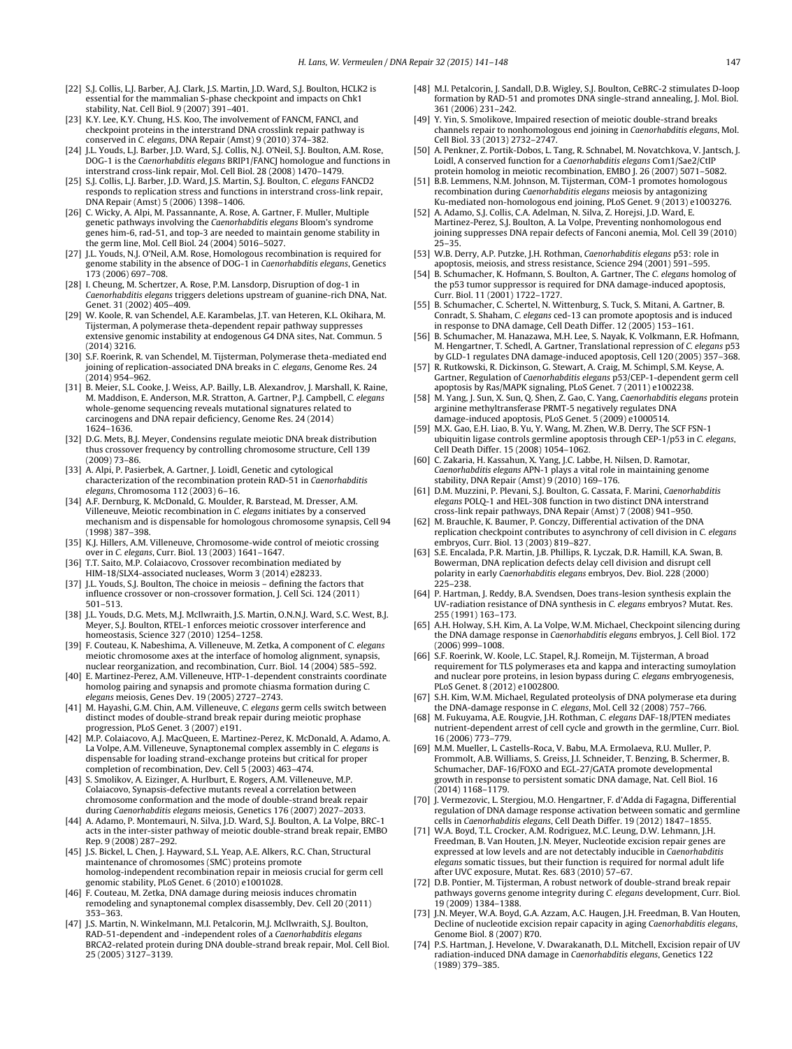- <span id="page-6-0"></span>[22] S.J. Collis, L.J. Barber, A.J. Clark, J.S. Martin, J.D. Ward, S.J. Boulton, HCLK2 is essential for the mammalian S-phase checkpoint and impacts on Chk1 stability, Nat. Cell Biol. 9 (2007) 391–401.
- [23] K.Y. Lee, K.Y. Chung, H.S. Koo, The involvement of FANCM, FANCI, and checkpoint proteins in the interstrand DNA crosslink repair pathway is conserved in C. elegans, DNA Repair (Amst) 9 (2010) 374–382.
- [24] J.L. Youds, L.J. Barber, J.D. Ward, S.J. Collis, N.J. O'Neil, S.J. Boulton, A.M. Rose, DOG-1 is the Caenorhabditis elegans BRIP1/FANCJ homologue and functions in interstrand cross-link repair, Mol. Cell Biol. 28 (2008) 1470–1479.
- [25] S.J. Collis, L.J. Barber, J.D. Ward, J.S. Martin, S.J. Boulton, C. elegans FANCD2 responds to replication stress and functions in interstrand cross-link repair, DNA Repair (Amst) 5 (2006) 1398–1406.
- [26] C. Wicky, A. Alpi, M. Passannante, A. Rose, A. Gartner, F. Muller, Multiple genetic pathways involving the Caenorhabditis elegans Bloom's syndrome genes him-6, rad-51, and top-3 are needed to maintain genome stability in the germ line, Mol. Cell Biol. 24 (2004) 5016–5027.
- [27] J.L. Youds, N.J. O'Neil, A.M. Rose, Homologous recombination is required for genome stability in the absence of DOG-1 in Caenorhabditis elegans, Genetics 173 (2006) 697–708.
- [28] I. Cheung, M. Schertzer, A. Rose, P.M. Lansdorp, Disruption of dog-1 in Caenorhabditis elegans triggers deletions upstream of guanine-rich DNA, Nat. Genet. 31 (2002) 405–409.
- [29] W. Koole, R. van Schendel, A.E. Karambelas, J.T. van Heteren, K.L. Okihara, M. Tijsterman, A polymerase theta-dependent repair pathway suppresses extensive genomic instability at endogenous G4 DNA sites, Nat. Commun. 5  $(2014)$  3216.
- [30] S.F. Roerink, R. van Schendel, M. Tijsterman, Polymerase theta-mediated end joining of replication-associated DNA breaks in C. elegans, Genome Res. 24 (2014) 954–962.
- [31] B. Meier, S.L. Cooke, J. Weiss, A.P. Bailly, L.B. Alexandrov, J. Marshall, K. Raine, M. Maddison, E. Anderson, M.R. Stratton, A. Gartner, P.J. Campbell, C. elegans whole-genome sequencing reveals mutational signatures related to carcinogens and DNA repair deficiency, Genome Res. 24 (2014) 1624–1636.
- [32] D.G. Mets, B.J. Meyer, Condensins regulate meiotic DNA break distribution thus crossover frequency by controlling chromosome structure, Cell 139 (2009) 73–86.
- [33] A. Alpi, P. Pasierbek, A. Gartner, J. Loidl, Genetic and cytological characterization of the recombination protein RAD-51 in Caenorhabditis elegans, Chromosoma 112 (2003) 6–16.
- [34] A.F. Dernburg, K. McDonald, G. Moulder, R. Barstead, M. Dresser, A.M. Villeneuve, Meiotic recombination in C. elegans initiates by a conserved mechanism and is dispensable for homologous chromosome synapsis, Cell 94 (1998) 387–398.
- [35] K.J. Hillers, A.M. Villeneuve, Chromosome-wide control of meiotic crossing over in C. elegans, Curr. Biol. 13 (2003) 1641–1647.
- [36] T.T. Saito, M.P. Colaiacovo, Crossover recombination mediated by HIM-18/SLX4-associated nucleases, Worm 3 (2014) e28233.
- [37] J.L. Youds, S.I. Boulton, The choice in meiosis defining the factors that influence crossover or non-crossover formation, J. Cell Sci. 124 (2011) 501–513.
- [38] J.L. Youds, D.G. Mets, M.J. McIlwraith, J.S. Martin, O.N.N.J. Ward, S.C. West, B.J. Meyer, S.J. Boulton, RTEL-1 enforces meiotic crossover interference and homeostasis, Science 327 (2010) 1254–1258.
- [39] F. Couteau, K. Nabeshima, A. Villeneuve, M. Zetka, A component of C. elegans meiotic chromosome axes at the interface of homolog alignment, synapsis, nuclear reorganization, and recombination, Curr. Biol. 14 (2004) 585–592.
- [40] E. Martinez-Perez, A.M. Villeneuve, HTP-1-dependent constraints coordinate homolog pairing and synapsis and promote chiasma formation during C. elegans meiosis, Genes Dev. 19 (2005) 2727–2743.
- [41] M. Hayashi, G.M. Chin, A.M. Villeneuve, C. elegans germ cells switch between distinct modes of double-strand break repair during meiotic prophase progression, PLoS Genet. 3 (2007) e191.
- [42] M.P. Colaiacovo, A.J. MacQueen, E. Martinez-Perez, K. McDonald, A. Adamo, A. La Volpe, A.M. Villeneuve, Synaptonemal complex assembly in C. elegans is dispensable for loading strand-exchange proteins but critical for proper completion of recombination, Dev. Cell 5 (2003) 463–474.
- [43] S. Smolikov, A. Eizinger, A. Hurlburt, E. Rogers, A.M. Villeneuve, M.P. Colaiacovo, Synapsis-defective mutants reveal a correlation between chromosome conformation and the mode of double-strand break repair during Caenorhabditis elegans meiosis, Genetics 176 (2007) 2027–2033.
- [44] A. Adamo, P. Montemauri, N. Silva, J.D. Ward, S.J. Boulton, A. La Volpe, BRC-1 acts in the inter-sister pathway of meiotic double-strand break repair, EMBO Rep. 9 (2008) 287–292.
- [45] J.S. Bickel, L. Chen, J. Hayward, S.L. Yeap, A.E. Alkers, R.C. Chan, Structural maintenance of chromosomes (SMC) proteins promote homolog-independent recombination repair in meiosis crucial for germ cell genomic stability, PLoS Genet. 6 (2010) e1001028.
- [46] F. Couteau, M. Zetka, DNA damage during meiosis induces chromatin remodeling and synaptonemal complex disassembly, Dev. Cell 20 (2011) 353–363.
- [47] J.S. Martin, N. Winkelmann, M.I. Petalcorin, M.J. McIlwraith, S.J. Boulton, RAD-51-dependent and -independent roles of a Caenorhabditis elegans BRCA2-related protein during DNA double-strand break repair, Mol. Cell Biol. 25 (2005) 3127–3139.
- [48] M.I. Petalcorin, J. Sandall, D.B. Wigley, S.J. Boulton, CeBRC-2 stimulates D-loop formation by RAD-51 and promotes DNA single-strand annealing, J. Mol. Biol. 361 (2006) 231–242.
- [49] Y. Yin, S. Smolikove, Impaired resection of meiotic double-strand breaks channels repair to nonhomologous end joining in Caenorhabditis elegans, Mol. Cell Biol. 33 (2013) 2732–2747.
- [50] A. Penkner, Z. Portik-Dobos, L. Tang, R. Schnabel, M. Novatchkova, V. Jantsch, J. Loidl, A conserved function for a Caenorhabditis elegans Com1/Sae2/CtIP protein homolog in meiotic recombination, EMBO J. 26 (2007) 5071-5082.
- [51] B.B. Lemmens, N.M. Johnson, M. Tijsterman, COM-1 promotes homologous recombination during Caenorhabditis elegans meiosis by antagonizing Ku-mediated non-homologous end joining, PLoS Genet. 9 (2013) e1003276.
- [52] A. Adamo, S.J. Collis, C.A. Adelman, N. Silva, Z. Horejsi, J.D. Ward, E. Martinez-Perez, S.J. Boulton, A. La Volpe, Preventing nonhomologous end joining suppresses DNA repair defects of Fanconi anemia, Mol. Cell 39 (2010) 25–35.
- [53] W.B. Derry, A.P. Putzke, J.H. Rothman, Caenorhabditis elegans p53: role in apoptosis, meiosis, and stress resistance, Science 294 (2001) 591–595.
- [54] B. Schumacher, K. Hofmann, S. Boulton, A. Gartner, The C. elegans homolog of the p53 tumor suppressor is required for DNA damage-induced apoptosis, Curr. Biol. 11 (2001) 1722–1727.
- [55] B. Schumacher, C. Schertel, N. Wittenburg, S. Tuck, S. Mitani, A. Gartner, B. Conradt, S. Shaham, C. elegans ced-13 can promote apoptosis and is induced in response to DNA damage, Cell Death Differ. 12 (2005) 153–161.
- [56] B. Schumacher, M. Hanazawa, M.H. Lee, S. Nayak, K. Volkmann, E.R. Hofmann, M. Hengartner, T. Schedl, A. Gartner, Translational repression of C. elegans p53 by GLD-1 regulates DNA damage-induced apoptosis, Cell 120 (2005) 357–368.
- [57] R. Rutkowski, R. Dickinson, G. Stewart, A. Craig, M. Schimpl, S.M. Keyse, A. Gartner, Regulation of Caenorhabditis elegans p53/CEP-1-dependent germ cell apoptosis by Ras/MAPK signaling, PLoS Genet. 7 (2011) e1002238.
- [58] M. Yang, J. Sun, X. Sun, Q. Shen, Z. Gao, C. Yang, Caenorhabditis elegans protein arginine methyltransferase PRMT-5 negatively regulates DNA damage-induced apoptosis, PLoS Genet. 5 (2009) e1000514.
- [59] M.X. Gao, E.H. Liao, B. Yu, Y. Wang, M. Zhen, W.B. Derry, The SCF FSN-1 ubiquitin ligase controls germline apoptosis through CEP-1/p53 in C. elegans, Cell Death Differ. 15 (2008) 1054–1062.
- [60] C. Zakaria, H. Kassahun, X. Yang, J.C. Labbe, H. Nilsen, D. Ramotar, Caenorhabditis elegans APN-1 plays a vital role in maintaining genome stability, DNA Repair (Amst) 9 (2010) 169–176.
- [61] D.M. Muzzini, P. Plevani, S.J. Boulton, G. Cassata, F. Marini, Caenorhabditis elegans POLQ-1 and HEL-308 function in two distinct DNA interstrand cross-link repair pathways, DNA Repair (Amst) 7 (2008) 941–950.
- [62] M. Brauchle, K. Baumer, P. Gonczy, Differential activation of the DNA replication checkpoint contributes to asynchrony of cell division in C. elegans embryos, Curr. Biol. 13 (2003) 819–827.
- [63] S.E. Encalada, P.R. Martin, J.B. Phillips, R. Lyczak, D.R. Hamill, K.A. Swan, B. Bowerman, DNA replication defects delay cell division and disrupt cell polarity in early Caenorhabditis elegans embryos, Dev. Biol. 228 (2000) 225–238.
- [64] P. Hartman, J. Reddy, B.A. Svendsen, Does trans-lesion synthesis explain the UV-radiation resistance of DNA synthesis in C. elegans embryos? Mutat. Res. 255 (1991) 163–173.
- [65] A.H. Holway, S.H. Kim, A. La Volpe, W.M. Michael, Checkpoint silencing during the DNA damage response in Caenorhabditis elegans embryos, J. Cell Biol. 172 (2006) 999–1008.
- [66] S.F. Roerink, W. Koole, L.C. Stapel, R.J. Romeijn, M. Tijsterman, A broad requirement for TLS polymerases eta and kappa and interacting sumoylation and nuclear pore proteins, in lesion bypass during C. elegans embryogenesis, PLoS Genet. 8 (2012) e1002800.
- [67] S.H. Kim, W.M. Michael, Regulated proteolysis of DNA polymerase eta during the DNA-damage response in C. elegans, Mol. Cell 32 (2008) 757-766.
- [68] M. Fukuyama, A.E. Rougvie, J.H. Rothman, C. elegans DAF-18/PTEN mediates nutrient-dependent arrest of cell cycle and growth in the germline, Curr. Biol. 16 (2006) 773–779.
- [69] M.M. Mueller, L. Castells-Roca, V. Babu, M.A. Ermolaeva, R.U. Muller, P. Frommolt, A.B. Williams, S. Greiss, J.I. Schneider, T. Benzing, B. Schermer, B. Schumacher, DAF-16/FOXO and EGL-27/GATA promote developmental growth in response to persistent somatic DNA damage, Nat. Cell Biol. 16 (2014) 1168–1179.
- [70] J. Vermezovic, L. Stergiou, M.O. Hengartner, F. d'Adda di Fagagna, Differential regulation of DNA damage response activation between somatic and germline cells in Caenorhabditis elegans, Cell Death Differ. 19 (2012) 1847–1855.
- [71] W.A. Boyd, T.L. Crocker, A.M. Rodriguez, M.C. Leung, D.W. Lehmann, J.H. Freedman, B. Van Houten, J.N. Meyer, Nucleotide excision repair genes are expressed at low levels and are not detectably inducible in Caenorhabditis elegans somatic tissues, but their function is required for normal adult life after UVC exposure, Mutat. Res. 683 (2010) 57–67.
- [72] D.B. Pontier, M. Tijsterman, A robust network of double-strand break repair pathways governs genome integrity during C. elegans development, Curr. Biol. 19 (2009) 1384–1388.
- [73] J.N. Meyer, W.A. Boyd, G.A. Azzam, A.C. Haugen, J.H. Freedman, B. Van Houten, Decline of nucleotide excision repair capacity in aging Caenorhabditis elegans, Genome Biol. 8 (2007) R70.
- [74] P.S. Hartman, J. Hevelone, V. Dwarakanath, D.L. Mitchell, Excision repair of UV radiation-induced DNA damage in Caenorhabditis elegans, Genetics 122 (1989) 379–385.